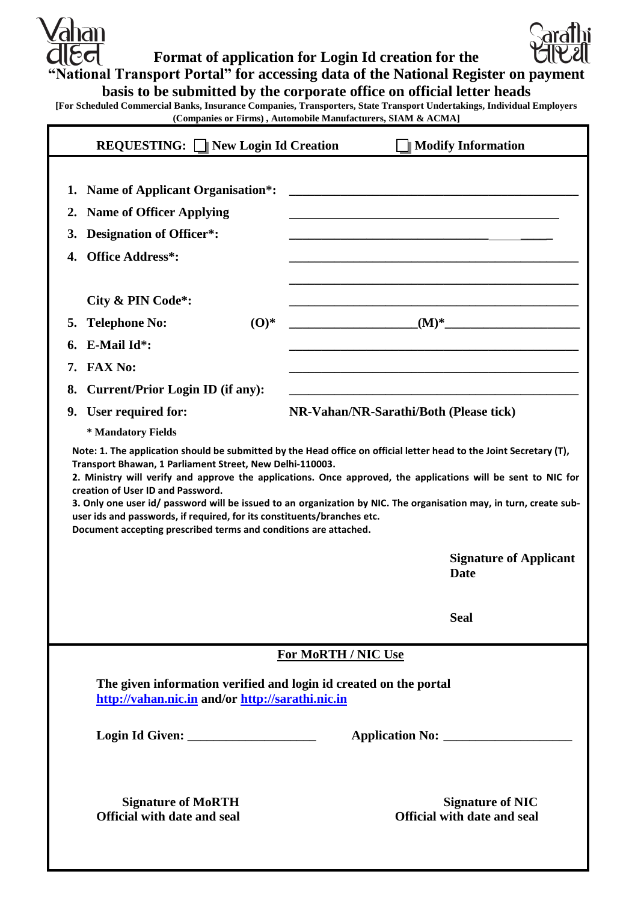$\ell$ ahan  $\epsilon$ ત

**Format of application for Login Id creation for the** 

**"National Transport Portal" for accessing data of the National Register on payment** 

**basis to be submitted by the corporate office on official letter heads**

**[For Scheduled Commercial Banks, Insurance Companies, Transporters, State Transport Undertakings, Individual Employers (Companies or Firms) , Automobile Manufacturers, SIAM & ACMA]**

|                                                                                                                                                                                                                                                                                                                                                                                                                         | <b>REQUESTING:</b> New Login Id Creation                                                                                      | <b>Modify Information</b>                                     |  |
|-------------------------------------------------------------------------------------------------------------------------------------------------------------------------------------------------------------------------------------------------------------------------------------------------------------------------------------------------------------------------------------------------------------------------|-------------------------------------------------------------------------------------------------------------------------------|---------------------------------------------------------------|--|
| 2.<br>3.<br>4.                                                                                                                                                                                                                                                                                                                                                                                                          | 1. Name of Applicant Organisation*:<br><b>Name of Officer Applying</b><br>Designation of Officer*:<br><b>Office Address*:</b> |                                                               |  |
|                                                                                                                                                                                                                                                                                                                                                                                                                         | City & PIN Code*:                                                                                                             |                                                               |  |
| 5.                                                                                                                                                                                                                                                                                                                                                                                                                      | $\mathbf{O}(\mathbf{O})^*$<br><b>Telephone No:</b>                                                                            | $(M)^*$                                                       |  |
|                                                                                                                                                                                                                                                                                                                                                                                                                         | E-Mail Id*:                                                                                                                   |                                                               |  |
| 7.                                                                                                                                                                                                                                                                                                                                                                                                                      | <b>FAX No:</b>                                                                                                                |                                                               |  |
| 8.                                                                                                                                                                                                                                                                                                                                                                                                                      | <b>Current/Prior Login ID (if any):</b>                                                                                       |                                                               |  |
|                                                                                                                                                                                                                                                                                                                                                                                                                         | 9. User required for:                                                                                                         | NR-Vahan/NR-Sarathi/Both (Please tick)                        |  |
|                                                                                                                                                                                                                                                                                                                                                                                                                         | * Mandatory Fields                                                                                                            |                                                               |  |
| 2. Ministry will verify and approve the applications. Once approved, the applications will be sent to NIC for<br>creation of User ID and Password.<br>3. Only one user id/ password will be issued to an organization by NIC. The organisation may, in turn, create sub-<br>user ids and passwords, if required, for its constituents/branches etc.<br>Document accepting prescribed terms and conditions are attached. |                                                                                                                               |                                                               |  |
|                                                                                                                                                                                                                                                                                                                                                                                                                         |                                                                                                                               | <b>Signature of Applicant</b><br><b>Date</b>                  |  |
|                                                                                                                                                                                                                                                                                                                                                                                                                         |                                                                                                                               | <b>Seal</b>                                                   |  |
| <b>For MoRTH / NIC Use</b>                                                                                                                                                                                                                                                                                                                                                                                              |                                                                                                                               |                                                               |  |
| The given information verified and login id created on the portal<br>http://vahan.nic.in and/or http://sarathi.nic.in                                                                                                                                                                                                                                                                                                   |                                                                                                                               |                                                               |  |
|                                                                                                                                                                                                                                                                                                                                                                                                                         |                                                                                                                               |                                                               |  |
|                                                                                                                                                                                                                                                                                                                                                                                                                         | <b>Signature of MoRTH</b><br><b>Official with date and seal</b>                                                               | <b>Signature of NIC</b><br><b>Official with date and seal</b> |  |